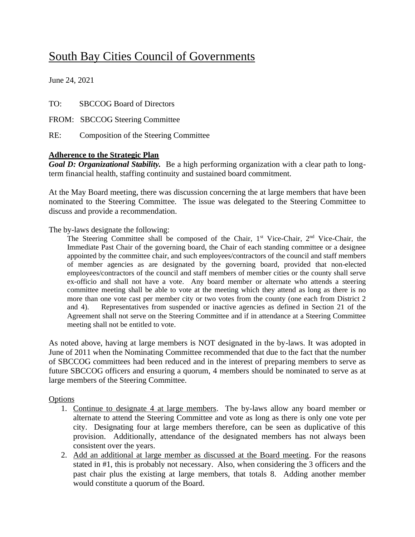# South Bay Cities Council of Governments

June 24, 2021

TO: SBCCOG Board of Directors

FROM: SBCCOG Steering Committee

RE: Composition of the Steering Committee

#### **Adherence to the Strategic Plan**

*Goal D: Organizational Stability.* Be a high performing organization with a clear path to longterm financial health, staffing continuity and sustained board commitment.

At the May Board meeting, there was discussion concerning the at large members that have been nominated to the Steering Committee. The issue was delegated to the Steering Committee to discuss and provide a recommendation.

The by-laws designate the following:

The Steering Committee shall be composed of the Chair, 1<sup>st</sup> Vice-Chair, 2<sup>nd</sup> Vice-Chair, the Immediate Past Chair of the governing board, the Chair of each standing committee or a designee appointed by the committee chair, and such employees/contractors of the council and staff members of member agencies as are designated by the governing board, provided that non-elected employees/contractors of the council and staff members of member cities or the county shall serve ex-officio and shall not have a vote. Any board member or alternate who attends a steering committee meeting shall be able to vote at the meeting which they attend as long as there is no more than one vote cast per member city or two votes from the county (one each from District 2 and 4). Representatives from suspended or inactive agencies as defined in Section 21 of the Agreement shall not serve on the Steering Committee and if in attendance at a Steering Committee meeting shall not be entitled to vote.

As noted above, having at large members is NOT designated in the by-laws. It was adopted in June of 2011 when the Nominating Committee recommended that due to the fact that the number of SBCCOG committees had been reduced and in the interest of preparing members to serve as future SBCCOG officers and ensuring a quorum, 4 members should be nominated to serve as at large members of the Steering Committee.

## **Options**

- 1. Continue to designate 4 at large members. The by-laws allow any board member or alternate to attend the Steering Committee and vote as long as there is only one vote per city. Designating four at large members therefore, can be seen as duplicative of this provision. Additionally, attendance of the designated members has not always been consistent over the years.
- 2. Add an additional at large member as discussed at the Board meeting. For the reasons stated in #1, this is probably not necessary. Also, when considering the 3 officers and the past chair plus the existing at large members, that totals 8. Adding another member would constitute a quorum of the Board.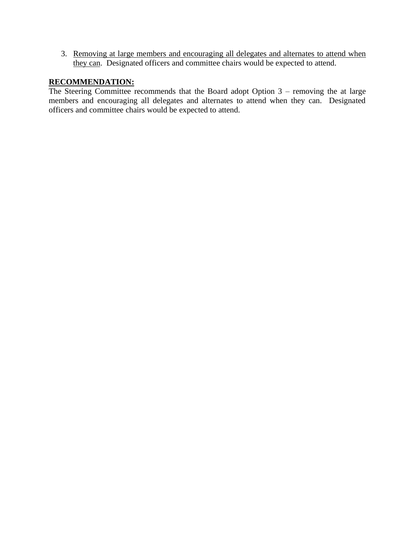3. Removing at large members and encouraging all delegates and alternates to attend when they can. Designated officers and committee chairs would be expected to attend.

## **RECOMMENDATION:**

The Steering Committee recommends that the Board adopt Option 3 – removing the at large members and encouraging all delegates and alternates to attend when they can. Designated officers and committee chairs would be expected to attend.